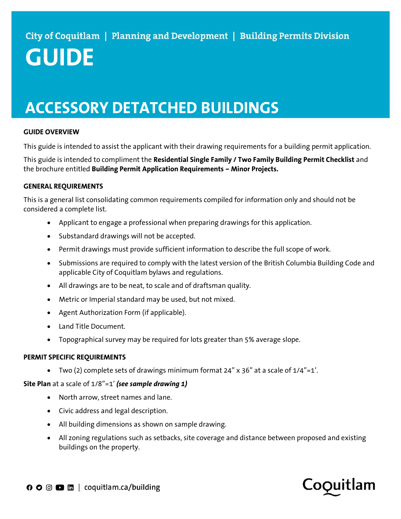# ACCESSORY DETATCHED BUILDINGS

#### GUIDE OVERVIEW

This guide is intended to assist the applicant with their drawing requirements for a building permit application.

This guide is intended to compliment the Residential Single Family / Two Family Building Permit Checklist and the brochure entitled Building Permit Application Requirements – Minor Projects.

#### GENERAL REQUIREMENTS

This is a general list consolidating common requirements compiled for information only and should not be considered a complete list.

- Applicant to engage a professional when preparing drawings for this application.
- Substandard drawings will not be accepted.
- Permit drawings must provide sufficient information to describe the full scope of work.
- Submissions are required to comply with the latest version of the British Columbia Building Code and applicable City of Coquitlam bylaws and regulations.
- All drawings are to be neat, to scale and of draftsman quality.
- Metric or Imperial standard may be used, but not mixed.
- Agent Authorization Form (if applicable).
- Land Title Document.
- Topographical survey may be required for lots greater than 5% average slope.

#### PERMIT SPECIFIC REQUIREMENTS

Two (2) complete sets of drawings minimum format 24"  $\times$  36" at a scale of 1/4"=1'.

Site Plan at a scale of  $1/8$ "=1' (see sample drawing 1)

- North arrow, street names and lane.
- Civic address and legal description.
- All building dimensions as shown on sample drawing.
- All zoning regulations such as setbacks, site coverage and distance between proposed and existing buildings on the property.

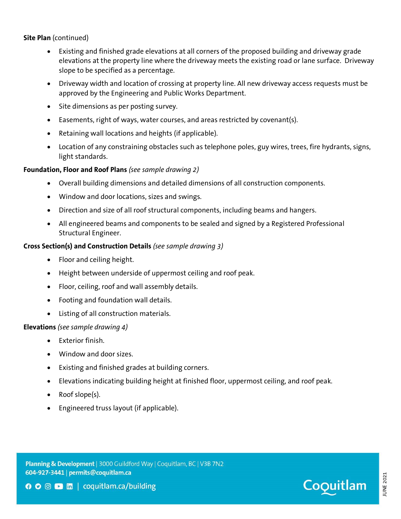Site Plan (continued)

- Existing and finished grade elevations at all corners of the proposed building and driveway grade elevations at the property line where the driveway meets the existing road or lane surface. Driveway slope to be specified as a percentage.
- Driveway width and location of crossing at property line. All new driveway access requests must be approved by the Engineering and Public Works Department.
- Site dimensions as per posting survey.
- Easements, right of ways, water courses, and areas restricted by covenant(s).
- Retaining wall locations and heights (if applicable).
- Location of any constraining obstacles such as telephone poles, guy wires, trees, fire hydrants, signs, light standards.

### Foundation, Floor and Roof Plans (see sample drawing 2)

- Overall building dimensions and detailed dimensions of all construction components.
- Window and door locations, sizes and swings.
- Direction and size of all roof structural components, including beams and hangers.
- All engineered beams and components to be sealed and signed by a Registered Professional Structural Engineer.

### Cross Section(s) and Construction Details (see sample drawing 3)

- Floor and ceiling height.
- Height between underside of uppermost ceiling and roof peak.
- Floor, ceiling, roof and wall assembly details.
- Footing and foundation wall details.
- Listing of all construction materials.

### Elevations (see sample drawing 4)

- Exterior finish.
- Window and door sizes.
- Existing and finished grades at building corners.
- Elevations indicating building height at finished floor, uppermost ceiling, and roof peak.
- Roof slope(s).
- Engineered truss layout (if applicable).



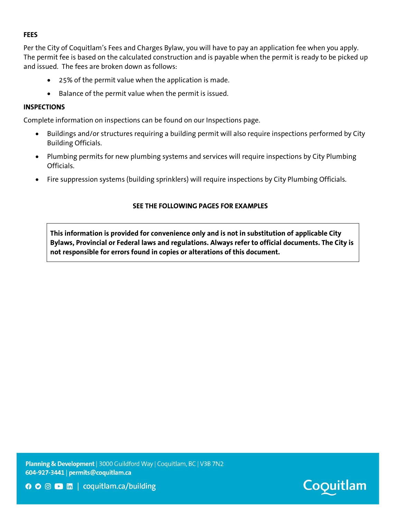#### FEES

Per the City of Coquitlam's Fees and Charges Bylaw, you will have to pay an application fee when you apply. The permit fee is based on the calculated construction and is payable when the permit is ready to be picked up and issued. The fees are broken down as follows:

- 25% of the permit value when the application is made.
- Balance of the permit value when the permit is issued.

#### INSPECTIONS

Complete information on inspections can be found on our Inspections page.

- Buildings and/or structures requiring a building permit will also require inspections performed by City Building Officials.
- Plumbing permits for new plumbing systems and services will require inspections by City Plumbing Officials.
- Fire suppression systems (building sprinklers) will require inspections by City Plumbing Officials.

#### SEE THE FOLLOWING PAGES FOR EXAMPLES

This information is provided for convenience only and is not in substitution of applicable City Bylaws, Provincial or Federal laws and regulations. Always refer to official documents. The City is not responsible for errors found in copies or alterations of this document.

Planning & Development | 3000 Guildford Way | Coquitlam, BC | V3B 7N2 604-927-3441 | permits@coquitlam.ca



**O** ⊙ D **In** | coquitlam.ca/building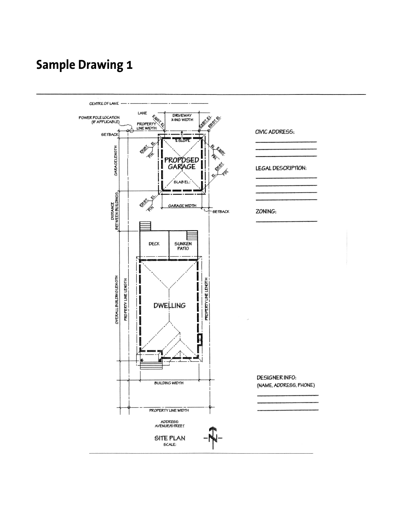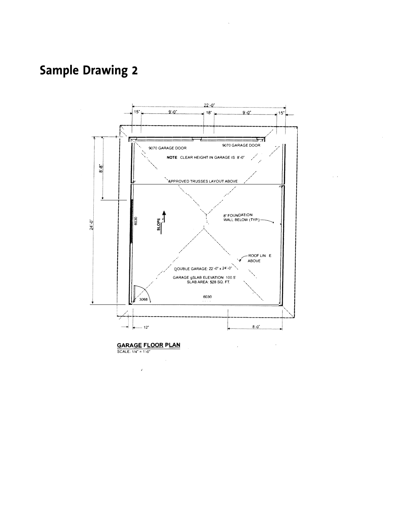

 $\hat{\mathcal{L}}$ 

**GARAGE FLOOR PLAN**<br>SCALE: 1/4" = 1'-0"

 $\lambda$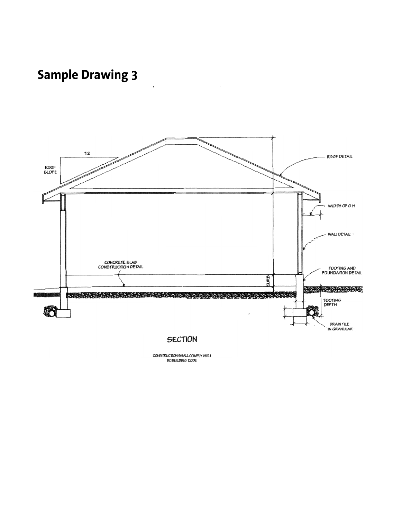